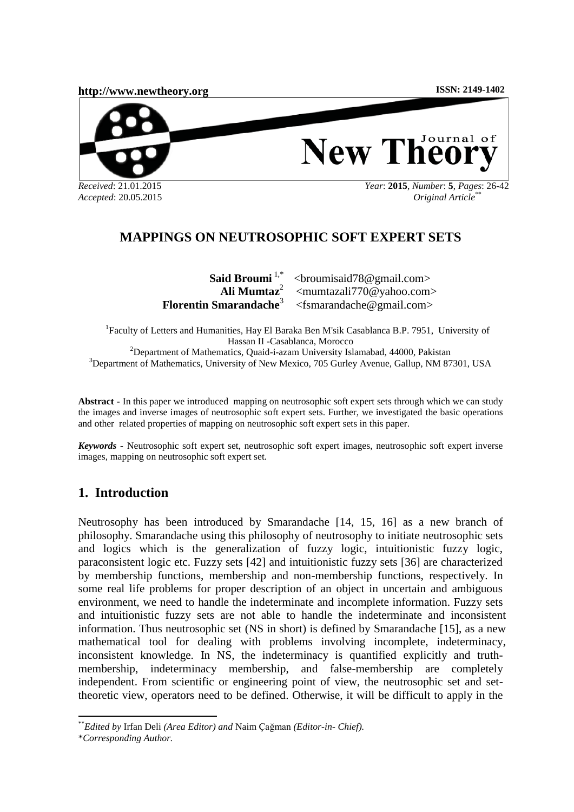

# **MAPPINGS ON NEUTROSOPHIC SOFT EXPERT SETS**

Said Broumi<sup>1,\*</sup> **Ali Mumtaz**<sup>2</sup> **Florentin Smarandache**<sup>3</sup> [<broumisaid78@gmail.com>](mailto:1broumisaid78@gmail.com) [<mumtazali770@yahoo.com>](mailto:mumtazali770@yahoo.com) [<fsmarandache@gmail.com>](mailto:fsmarandache@gmail.com)

<sup>1</sup>Faculty of Letters and Humanities, Hay El Baraka Ben M'sik Casablanca B.P. 7951, University of Hassan II -Casablanca, Morocco <sup>2</sup>Department of Mathematics, Quaid-i-azam University Islamabad, 44000, Pakistan <sup>3</sup>Department of Mathematics, University of New Mexico, 705 Gurley Avenue, Gallup, NM 87301, USA

**Abstract -** In this paper we introduced mapping on neutrosophic soft expert sets through which we can study the images and inverse images of neutrosophic soft expert sets. Further, we investigated the basic operations and other related properties of mapping on neutrosophic soft expert sets in this paper.

*Keywords* **-** Neutrosophic soft expert set, neutrosophic soft expert images, neutrosophic soft expert inverse images, mapping on neutrosophic soft expert set.

## **1. Introduction**

Neutrosophy has been introduced by Smarandache [14, 15, 16] as a new branch of philosophy. Smarandache using this philosophy of neutrosophy to initiate neutrosophic sets and logics which is the generalization of fuzzy logic, intuitionistic fuzzy logic, paraconsistent logic etc. Fuzzy sets [42] and intuitionistic fuzzy sets [36] are characterized by membership functions, membership and non-membership functions, respectively. In some real life problems for proper description of an object in uncertain and ambiguous environment, we need to handle the indeterminate and incomplete information. Fuzzy sets and intuitionistic fuzzy sets are not able to handle the indeterminate and inconsistent information. Thus neutrosophic set (NS in short) is defined by Smarandache [15], as a new mathematical tool for dealing with problems involving incomplete, indeterminacy, inconsistent knowledge. In NS, the indeterminacy is quantified explicitly and truthmembership, indeterminacy membership, and false-membership are completely independent. From scientific or engineering point of view, the neutrosophic set and settheoretic view, operators need to be defined. Otherwise, it will be difficult to apply in the

<sup>\*\*</sup>*Edited by* Irfan Deli *(Area Editor) and* Naim Çağman *(Editor-in- Chief).*

<sup>\*</sup>*Corresponding Author.*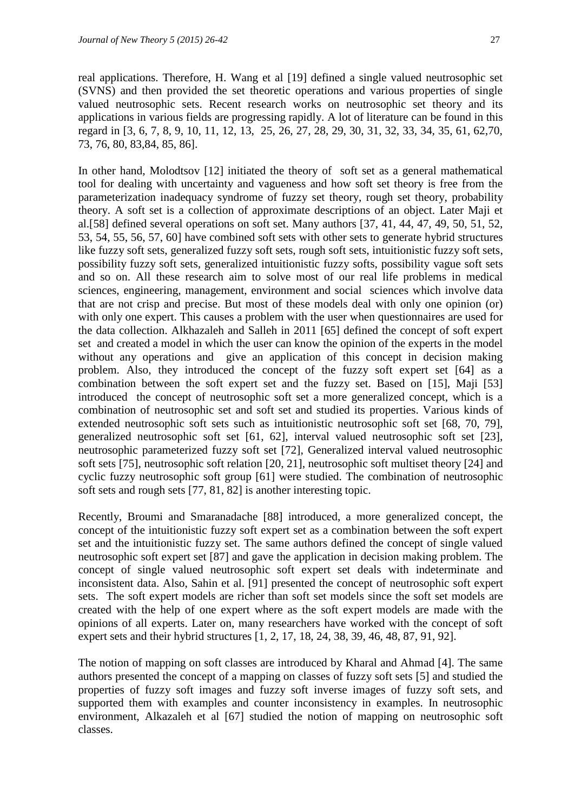real applications. Therefore, H. Wang et al [19] defined a single valued neutrosophic set (SVNS) and then provided the set theoretic operations and various properties of single valued neutrosophic sets. Recent research works on neutrosophic set theory and its applications in various fields are progressing rapidly. A lot of literature can be found in this regard in [3, 6, 7, 8, 9, 10, 11, 12, 13, 25, 26, 27, 28, 29, 30, 31, 32, 33, 34, 35, 61, 62,70, 73, 76, 80, 83,84, 85, 86].

In other hand, Molodtsov [12] initiated the theory of soft set as a general mathematical tool for dealing with uncertainty and vagueness and how soft set theory is free from the parameterization inadequacy syndrome of fuzzy set theory, rough set theory, probability theory. A soft set is a collection of approximate descriptions of an object. Later Maji et al.[58] defined several operations on soft set. Many authors [37, 41, 44, 47, 49, 50, 51, 52, 53, 54, 55, 56, 57, 60] have combined soft sets with other sets to generate hybrid structures like fuzzy soft sets, generalized fuzzy soft sets, rough soft sets, intuitionistic fuzzy soft sets, possibility fuzzy soft sets, generalized intuitionistic fuzzy softs, possibility vague soft sets and so on. All these research aim to solve most of our real life problems in medical sciences, engineering, management, environment and social sciences which involve data that are not crisp and precise. But most of these models deal with only one opinion (or) with only one expert. This causes a problem with the user when questionnaires are used for the data collection. Alkhazaleh and Salleh in 2011 [65] defined the concept of soft expert set and created a model in which the user can know the opinion of the experts in the model without any operations and give an application of this concept in decision making problem. Also, they introduced the concept of the fuzzy soft expert set [64] as a combination between the soft expert set and the fuzzy set. Based on [15], Maji [53] introduced the concept of neutrosophic soft set a more generalized concept, which is a combination of neutrosophic set and soft set and studied its properties. Various kinds of extended neutrosophic soft sets such as intuitionistic neutrosophic soft set [68, 70, 79], generalized neutrosophic soft set [61, 62], interval valued neutrosophic soft set [23], neutrosophic parameterized fuzzy soft set [72], Generalized interval valued neutrosophic soft sets [75], neutrosophic soft relation [20, 21], neutrosophic soft multiset theory [24] and cyclic fuzzy neutrosophic soft group [61] were studied. The combination of neutrosophic soft sets and rough sets [77, 81, 82] is another interesting topic.

Recently, Broumi and Smaranadache [88] introduced, a more generalized concept, the concept of the intuitionistic fuzzy soft expert set as a combination between the soft expert set and the intuitionistic fuzzy set. The same authors defined the concept of single valued neutrosophic soft expert set [87] and gave the application in decision making problem. The concept of single valued neutrosophic soft expert set deals with indeterminate and inconsistent data. Also, Sahin et al. [91] presented the concept of neutrosophic soft expert sets. The soft expert models are richer than soft set models since the soft set models are created with the help of one expert where as the soft expert models are made with the opinions of all experts. Later on, many researchers have worked with the concept of soft expert sets and their hybrid structures [1, 2, 17, 18, 24, 38, 39, 46, 48, 87, 91, 92].

The notion of mapping on soft classes are introduced by Kharal and Ahmad [4]. The same authors presented the concept of a mapping on classes of fuzzy soft sets [5] and studied the properties of fuzzy soft images and fuzzy soft inverse images of fuzzy soft sets, and supported them with examples and counter inconsistency in examples. In neutrosophic environment, Alkazaleh et al [67] studied the notion of mapping on neutrosophic soft classes.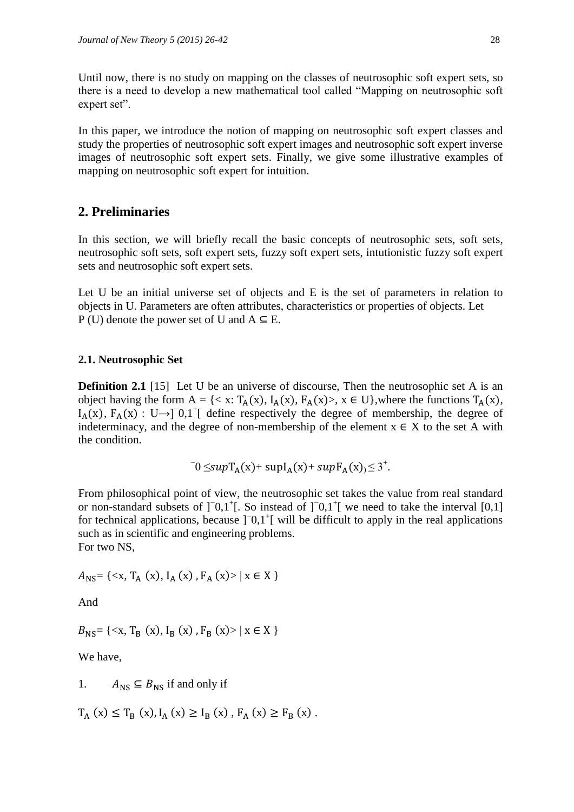Until now, there is no study on mapping on the classes of neutrosophic soft expert sets, so there is a need to develop a new mathematical tool called "Mapping on neutrosophic soft expert set".

In this paper, we introduce the notion of mapping on neutrosophic soft expert classes and study the properties of neutrosophic soft expert images and neutrosophic soft expert inverse images of neutrosophic soft expert sets. Finally, we give some illustrative examples of mapping on neutrosophic soft expert for intuition.

## **2. Preliminaries**

In this section, we will briefly recall the basic concepts of neutrosophic sets, soft sets, neutrosophic soft sets, soft expert sets, fuzzy soft expert sets, intutionistic fuzzy soft expert sets and neutrosophic soft expert sets.

Let U be an initial universe set of objects and E is the set of parameters in relation to objects in U. Parameters are often attributes, characteristics or properties of objects. Let P (U) denote the power set of U and  $A \subseteq E$ .

#### **2.1. Neutrosophic Set**

**Definition 2.1** [15] Let U be an universe of discourse, Then the neutrosophic set A is an object having the form  $A = \{ \langle x : T_A(x), I_A(x), F_A(x) \rangle, x \in U \}$ , where the functions  $T_A(x)$ ,  $I_A(x)$ ,  $F_A(x)$ : U→]<sup>-</sup>0,1<sup>+</sup>[ define respectively the degree of membership, the degree of indeterminacy, and the degree of non-membership of the element  $x \in X$  to the set A with the condition.

 $\bar{0}$  ≤supT<sub>A</sub>(x)+ supI<sub>A</sub>(x)+ supF<sub>A</sub>(x)<sub>)</sub> ≤ 3<sup>+</sup>.

From philosophical point of view, the neutrosophic set takes the value from real standard or non-standard subsets of ]<sup>−</sup>0,1<sup>+</sup>[. So instead of ]<sup>−</sup>0,1<sup>+</sup>[ we need to take the interval [0,1] for technical applications, because  $]$ <sup>-</sup> $0,1$ <sup>+</sup> $[$  will be difficult to apply in the real applications such as in scientific and engineering problems. For two NS,

 $A_{\rm NS} = \{ \langle x, T_{\rm A}(x), I_{\rm A}(x), F_{\rm A}(x) \rangle \mid x \in X \}$ 

And

 $B_{\text{NS}} = \{ \langle x, T_{\text{B}}(x), I_{\text{B}}(x), F_{\text{B}}(x) \rangle \mid x \in X \}$ 

We have,

1.  $A_{\text{NS}} \subseteq B_{\text{NS}}$  if and only if

 $T_A(x) \le T_B(x), I_A(x) \ge I_B(x), F_A(x) \ge F_B(x)$ .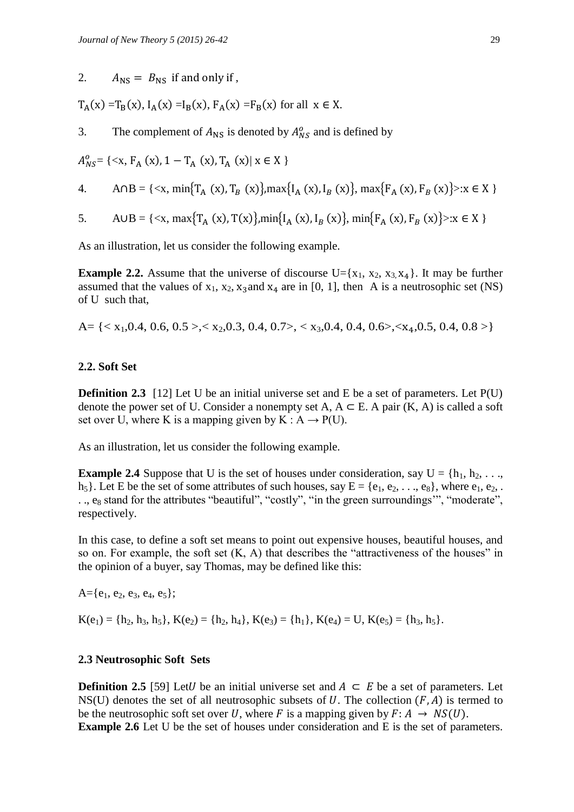2.  $A_{\text{NS}} = B_{\text{NS}}$  if and only if,

 $T_A(x) = T_B(x)$ ,  $I_A(x) = I_B(x)$ ,  $F_A(x) = F_B(x)$  for all  $x \in X$ .

3. The complement of  $A_{\text{NS}}$  is denoted by  $A_{\text{NS}}^0$  and is defined by

 $A_{NS}^0 = \{ \langle x, F_A(x), 1 - T_A(x), T_A(x) | x \in X \}$ 

4. 
$$
A \cap B = \{ \langle x, \min\{T_A(x), T_B(x)\}, \max\{I_A(x), I_B(x)\}, \max\{F_A(x), F_B(x)\} \rangle : x \in X \}
$$

5. 
$$
A \cup B = \{ \langle x, \max\{T_A(x), T(x)\}, \min\{I_A(x), I_B(x)\}, \min\{F_A(x), F_B(x)\} \rangle : x \in X \}
$$

As an illustration, let us consider the following example.

**Example 2.2.** Assume that the universe of discourse  $U = \{x_1, x_2, x_3, x_4\}$ . It may be further assumed that the values of  $x_1$ ,  $x_2$ ,  $x_3$  and  $x_4$  are in [0, 1], then A is a neutrosophic set (NS) of U such that,

A=  $\{< x_1, 0.4, 0.6, 0.5>, x_2, 0.3, 0.4, 0.7>, x_3, 0.4, 0.4, 0.6>, x_4, 0.5, 0.4, 0.8>\}$ 

### **2.2. Soft Set**

**Definition 2.3** [12] Let U be an initial universe set and E be a set of parameters. Let P(U) denote the power set of U. Consider a nonempty set A,  $A \subseteq E$ . A pair  $(K, A)$  is called a soft set over U, where K is a mapping given by K :  $A \rightarrow P(U)$ .

As an illustration, let us consider the following example.

**Example 2.4** Suppose that U is the set of houses under consideration, say  $U = \{h_1, h_2, \ldots, h_n\}$  $h_5$ . Let E be the set of some attributes of such houses, say  $E = \{e_1, e_2, \ldots, e_8\}$ , where  $e_1, e_2, \ldots$ .., e<sub>8</sub> stand for the attributes "beautiful", "costly", "in the green surroundings", "moderate", respectively.

In this case, to define a soft set means to point out expensive houses, beautiful houses, and so on. For example, the soft set  $(K, A)$  that describes the "attractiveness of the houses" in the opinion of a buyer, say Thomas, may be defined like this:

 $A = \{e_1, e_2, e_3, e_4, e_5\};$ 

 $K(e_1) = \{h_2, h_3, h_5\}, K(e_2) = \{h_2, h_4\}, K(e_3) = \{h_1\}, K(e_4) = U, K(e_5) = \{h_3, h_5\}.$ 

#### **2.3 Neutrosophic Soft Sets**

**Definition 2.5** [59] Let *U* be an initial universe set and  $A \subseteq E$  be a set of parameters. Let NS(U) denotes the set of all neutrosophic subsets of U. The collection  $(F, A)$  is termed to be the neutrosophic soft set over U, where F is a mapping given by  $F: A \rightarrow NS(U)$ .

**Example 2.6** Let U be the set of houses under consideration and E is the set of parameters.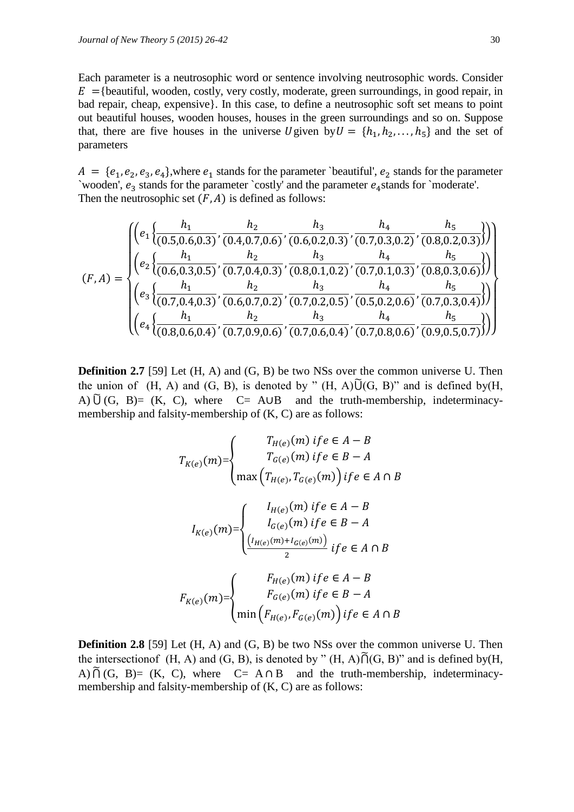Each parameter is a neutrosophic word or sentence involving neutrosophic words. Consider  $E = \{\text{beautiful, wooden, costly, very costly, moderate, green surroundings, in good repair, in }\$ bad repair, cheap, expensive}. In this case, to define a neutrosophic soft set means to point out beautiful houses, wooden houses, houses in the green surroundings and so on. Suppose that, there are five houses in the universe U given by  $U = \{h_1, h_2, \ldots, h_5\}$  and the set of parameters

 $A = \{e_1, e_2, e_3, e_4\}$ , where  $e_1$  stands for the parameter `beautiful',  $e_2$  stands for the parameter `wooden',  $e_3$  stands for the parameter `costly' and the parameter  $e_4$  stands for `moderate'. Then the neutrosophic set  $(F, A)$  is defined as follows:

$$
(F, A) = \begin{cases} \left( e_1 \left\{ \frac{h_1}{(0.5, 0.6, 0.3)}, \frac{h_2}{(0.4, 0.7, 0.6)}, \frac{h_3}{(0.6, 0.2, 0.3)}, \frac{h_4}{(0.7, 0.3, 0.2)}, \frac{h_5}{(0.8, 0.2, 0.3)} \right) \right) \\ \left( e_2 \left\{ \frac{h_1}{(0.6, 0.3, 0.5)}, \frac{h_2}{(0.7, 0.4, 0.3)}, \frac{h_3}{(0.8, 0.1, 0.2)}, \frac{h_4}{(0.7, 0.1, 0.3)}, \frac{h_5}{(0.8, 0.3, 0.6)} \right) \right) \\ \left( e_3 \left\{ \frac{h_1}{(0.7, 0.4, 0.3)}, \frac{h_2}{(0.6, 0.7, 0.2)}, \frac{h_3}{(0.7, 0.2, 0.5)}, \frac{h_4}{(0.5, 0.2, 0.6)}, \frac{h_5}{(0.7, 0.3, 0.4)} \right) \right\} \\ \left( e_4 \left\{ \frac{h_1}{(0.8, 0.6, 0.4)}, \frac{h_2}{(0.7, 0.9, 0.6)}, \frac{h_3}{(0.7, 0.6, 0.4)}, \frac{h_4}{(0.7, 0.8, 0.6)}, \frac{h_5}{(0.9, 0.5, 0.7)} \right) \right) \end{cases} \right)
$$

**Definition 2.7** [59] Let (H, A) and (G, B) be two NSs over the common universe U. Then the union of  $(H, A)$  and  $(G, B)$ , is denoted by " $(H, A) \tilde{U}(G, B)$ " and is defined by  $(H, A)$ A)  $\tilde{U}$  (G, B)= (K, C), where C= A∪B and the truth-membership, indeterminacymembership and falsity-membership of (K, C) are as follows:

$$
T_{K(e)}(m) = \begin{cases} T_{H(e)}(m) \text{ if } e \in A - B \\ T_{G(e)}(m) \text{ if } e \in B - A \end{cases}
$$

$$
I_{K(e)}(m) = \begin{cases} I_{H(e)}(m) \text{ if } e \in A \cap B \\ I_{G(e)}(m) \text{ if } e \in A - B \\ I_{G(e)}(m) \text{ if } e \in B - A \end{cases}
$$

$$
F_{K(e)}(m) = \begin{cases} F_{H(e)}(m) \text{ if } e \in A \cap B \\ F_{H(e)}(m) \text{ if } e \in A - B \\ F_{G(e)}(m) \text{ if } e \in B - A \end{cases}
$$

$$
F_{G(e)}(m) \text{ if } e \in B - A
$$

$$
F_{G(e)}(m) \text{ if } e \in B - A \end{cases}
$$

**Definition 2.8** [59] Let (H, A) and (G, B) be two NSs over the common universe U. Then the intersection of  $(H, A)$  and  $(G, B)$ , is denoted by " $(H, A) \tilde{f}((G, B))$ " and is defined by  $(H, A)$ A)  $\tilde{O}$  (G, B)= (K, C), where C= A  $\cap$  B and the truth-membership, indeterminacymembership and falsity-membership of (K, C) are as follows: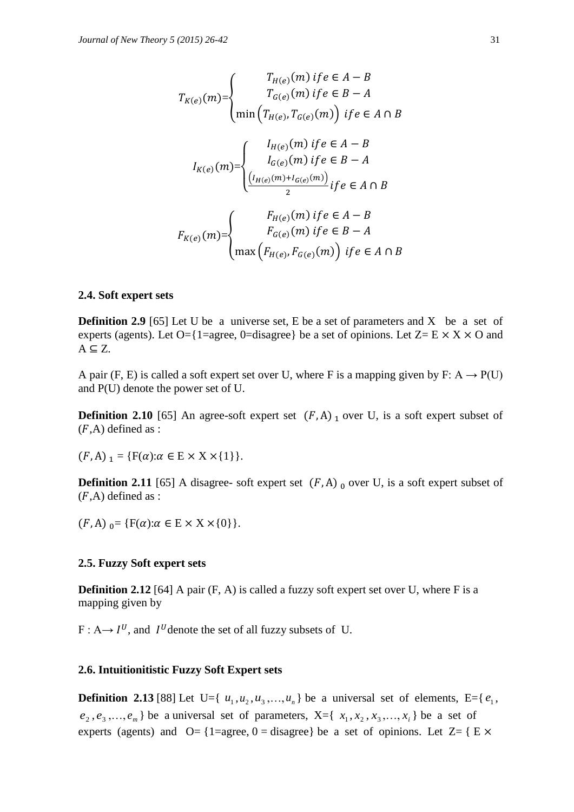$$
T_{K(e)}(m) = \begin{cases} T_{H(e)}(m) \text{ if } e \in A - B \\ T_{G(e)}(m) \text{ if } e \in B - A \end{cases}
$$

$$
I_{K(e)}(m) = \begin{cases} I_{H(e)}(m) \text{ if } e \in A \cap B \\ I_{G(e)}(m) \text{ if } e \in A - B \\ I_{G(e)}(m) \text{ if } e \in B - A \end{cases}
$$

$$
F_{K(e)}(m) = \begin{cases} F_{H(e)}(m) + I_{G(e)}(m) \\ \frac{F_{H(e)}(m) \text{ if } e \in A - B}{2} \\ F_{G(e)}(m) \text{ if } e \in B - A \end{cases}
$$

$$
F_{G(e)}(m) \text{ if } e \in B - A
$$

$$
T_{G(e)}(m) \text{ if } e \in B - A
$$

#### **2.4. Soft expert sets**

**Definition 2.9** [65] Let U be a universe set, E be a set of parameters and X be a set of experts (agents). Let O={1=agree, 0=disagree} be a set of opinions. Let  $Z= E \times X \times O$  and  $A \subseteq Z$ .

A pair (F, E) is called a soft expert set over U, where F is a mapping given by F: A  $\rightarrow$  P(U) and P(U) denote the power set of U.

**Definition 2.10** [65] An agree-soft expert set  $(F,A)$  over U, is a soft expert subset of  $(F,A)$  defined as :

 $(F, A)_1 = \{F(\alpha): \alpha \in E \times X \times \{1\}\}.$ 

**Definition 2.11** [65] A disagree- soft expert set  $(F, A)$  over U, is a soft expert subset of  $(F,A)$  defined as :

 $(F, A)_{0} = \{F(\alpha): \alpha \in E \times X \times \{0\}\}.$ 

#### **2.5. Fuzzy Soft expert sets**

**Definition 2.12** [64] A pair (F, A) is called a fuzzy soft expert set over U, where F is a mapping given by

 $F: A \rightarrow I^{U}$ , and  $I^{U}$  denote the set of all fuzzy subsets of U.

#### **2.6. Intuitionitistic Fuzzy Soft Expert sets**

**Definition 2.13** [88] Let U={ $u_1, u_2, u_3, ..., u_n$ } be a universal set of elements, E={ $e_1$ ,  $e_2, e_3, \ldots, e_m$  be a universal set of parameters,  $X = \{x_1, x_2, x_3, \ldots, x_i\}$  be a set of experts (agents) and  $O = \{1 = \text{agree}, 0 = \text{disagree}\}\)$  be a set of opinions. Let  $Z = \{E \times$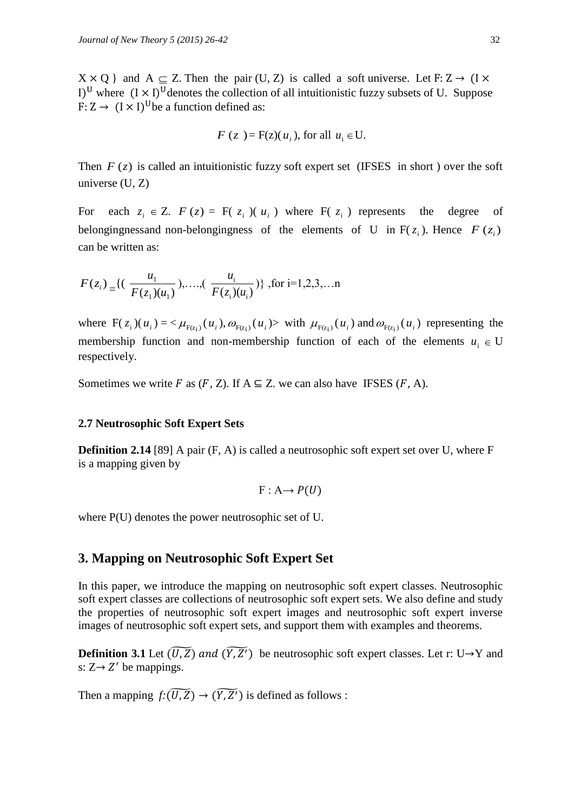$X \times Q$  and  $A \subseteq Z$ . Then the pair (U, Z) is called a soft universe. Let I)<sup>U</sup> where  $(I \times I)^U$  denotes the collection of all intuitionistic fuzzy subsets of U. Suppose F:  $Z \rightarrow (I \times I)^{U}$ be a function defined as:

$$
F(z) = F(z)(ui), for all ui \in U.
$$

Then  $F(z)$  is called an intuitionistic fuzzy soft expert set (IFSES in short) over the soft universe (U, Z)

For each  $z_i \in Z$ .  $F(z) = F(z_i)(u_i)$  where  $F(z_i)$  represents the degree of belongingnessand non-belongingness of the elements of U in  $F(z_i)$ . Hence  $F(z_i)$ can be written as:

$$
F(z_i) = \{ (\frac{u_1}{F(z_1)(u_1)}), \dots, (\frac{u_i}{F(z_i)(u_i)}) \}, \text{ for } i=1,2,3,\dots n
$$

where  $F(z_i)(u_i) = \langle \mu_{F(z_i)}(u_i), \omega_{F(z_i)}(u_i) \rangle$  with  $\mu_{F(z_i)}(u_i)$  and  $\omega_{F(z_i)}(u_i)$  representing the membership function and non-membership function of each of the elements  $u_i \in U$ respectively.

Sometimes we write F as  $(F, Z)$ . If  $A \subseteq Z$ . we can also have IFSES  $(F, A)$ .

#### **2.7 Neutrosophic Soft Expert Sets**

**Definition 2.14** [89] A pair (F, A) is called a neutrosophic soft expert set over U, where F is a mapping given by

$$
F: A \rightarrow P(U)
$$

where P(U) denotes the power neutrosophic set of U.

### **3. Mapping on Neutrosophic Soft Expert Set**

In this paper, we introduce the mapping on neutrosophic soft expert classes. Neutrosophic soft expert classes are collections of neutrosophic soft expert sets. We also define and study the properties of neutrosophic soft expert images and neutrosophic soft expert inverse images of neutrosophic soft expert sets, and support them with examples and theorems.

**Definition 3.1** Let  $(\widetilde{U}, \widetilde{Z})$  and  $(\widetilde{Y}, \widetilde{Z}')$  be neutrosophic soft expert classes. Let r: U  $\rightarrow$ Y and s:  $Z \rightarrow Z'$  be mappings.

Then a mapping  $f: (\widetilde{U,Z}) \to (\widetilde{Y,Z'})$  is defined as follows :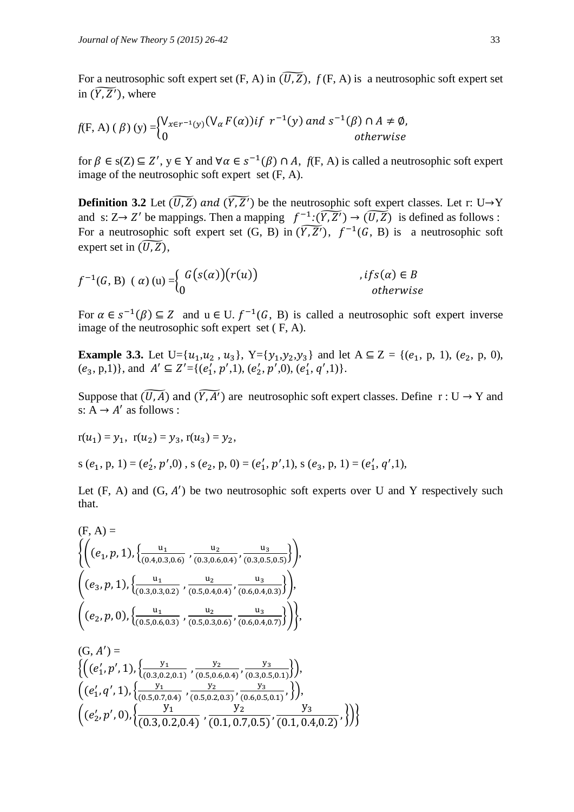For a neutrosophic soft expert set  $(F, A)$  in  $(\widetilde{U, Z})$ ,  $f(F, A)$  is a neutrosophic soft expert set in  $(\widetilde{Y}, \widetilde{Z}')$ , where

$$
f(F, A) (\beta) (y) =\begin{cases} V_{x \in r^{-1}(y)}(V_{\alpha} F(\alpha)) & \text{if } r^{-1}(y) \text{ and } s^{-1}(\beta) \cap A \neq \emptyset, \\ 0 & \text{otherwise} \end{cases}
$$

for  $\beta \in s(Z) \subseteq Z'$ ,  $y \in Y$  and  $\forall \alpha \in s^{-1}(\beta) \cap A$ ,  $f(F, A)$  is called a neutrosophic soft expert image of the neutrosophic soft expert set (F, A).

**Definition 3.2** Let  $(\widetilde{U}, \widetilde{Z})$  and  $(\widetilde{Y}, \widetilde{Z}')$  be the neutrosophic soft expert classes. Let r: U $\rightarrow$ Y and s:  $Z \rightarrow Z'$  be mappings. Then a mapping  $f^{-1}:(\widetilde{Y,Z'}) \rightarrow (\widetilde{U,Z})$  is defined as follows : For a neutrosophic soft expert set  $(G, B)$  in  $(\widetilde{Y,Z'})$ ,  $f^{-1}(G, B)$  is a neutrosophic soft expert set in  $(\widetilde{U,Z})$ ,

$$
f^{-1}(G, B) \ (\alpha) (u) =\n \begin{cases}\n G(s(\alpha))(r(u)) & \text{if } s(\alpha) \in B \\
0 & \text{otherwise}\n \end{cases}
$$

For  $\alpha \in s^{-1}(\beta) \subseteq Z$  and  $u \in U$ .  $f^{-1}(G, B)$  is called a neutrosophic soft expert inverse image of the neutrosophic soft expert set ( F, A).

**Example 3.3.** Let U={ $u_1, u_2, u_3$ }, Y={ $y_1, y_2, y_3$ } and let A  $\subseteq$  Z = { $(e_1, p, 1)$ ,  $(e_2, p, 0)$ ,  $(e_3, p, 1)$ , and  $A' \subseteq Z' = \{(e'_1, p', 1), (e'_2, p', 0), (e'_1, q', 1)\}.$ 

Suppose that  $(\widetilde{U, A})$  and  $(\widetilde{Y, A'})$  are neutrosophic soft expert classes. Define  $r : U \to Y$  and s:  $A \rightarrow A'$  as follows :

$$
r(u_1) = y_1
$$
,  $r(u_2) = y_3$ ,  $r(u_3) = y_2$ ,

s  $(e_1, p, 1) = (e'_2, p', 0)$ , s  $(e_2, p, 0) = (e'_1, p', 1)$ , s  $(e_3, p, 1) = (e'_1, q', 1)$ ,

Let  $(F, A)$  and  $(G, A')$  be two neutrosophic soft experts over U and Y respectively such that.

$$
(F, A) = \left\{ \left( (e_1, p, 1), \left\{ \frac{u_1}{(0.4, 0.3, 0.6)}, \frac{u_2}{(0.3, 0.6, 0.4)}, \frac{u_3}{(0.3, 0.5, 0.5)} \right\} \right), \\ \left( (e_3, p, 1), \left\{ \frac{u_1}{(0.3, 0.3, 0.2)}, \frac{u_2}{(0.5, 0.4, 0.4)}, \frac{u_3}{(0.6, 0.4, 0.3)} \right\} \right), \\ \left( (e_2, p, 0), \left\{ \frac{u_1}{(0.5, 0.6, 0.3)}, \frac{u_2}{(0.5, 0.3, 0.6)}, \frac{u_3}{(0.6, 0.4, 0.7)} \right\} \right\}, \\ (G, A') = \left\{ \left( (e'_1, p', 1), \left\{ \frac{y_1}{(0.3, 0.2, 0.1)}, \frac{y_2}{(0.5, 0.6, 0.4)}, \frac{y_3}{(0.3, 0.5, 0.1)} \right\} \right), \\ \left( (e'_1, q', 1), \left\{ \frac{y_1}{(0.5, 0.7, 0.4)}, \frac{y_2}{(0.5, 0.2, 0.3)}, \frac{y_3}{(0.6, 0.5, 0.1)}, \frac{y_3}{(0.1, 0.4, 0.2)}, \frac{y_3}{(0.1, 0.4, 0.2)}, \frac{y_3}{(0.1, 0.4, 0.2)}, \frac{y_3}{(0.1, 0.4, 0.2)}, \frac{y_3}{(0.1, 0.4, 0.2)}, \frac{y_3}{(0.1, 0.4, 0.2)}, \frac{y_3}{(0.1, 0.4, 0.2)}, \frac{y_3}{(0.1, 0.4, 0.2)}, \frac{y_3}{(0.1, 0.4, 0.2)}, \frac{y_3}{(0.1, 0.4, 0.2)}, \frac{y_3}{(0.1, 0.4, 0.2)}, \frac{y_3}{(0.1, 0.4, 0.2)}, \frac{y_3}{(0.1, 0.4, 0.2)}, \frac{y_3
$$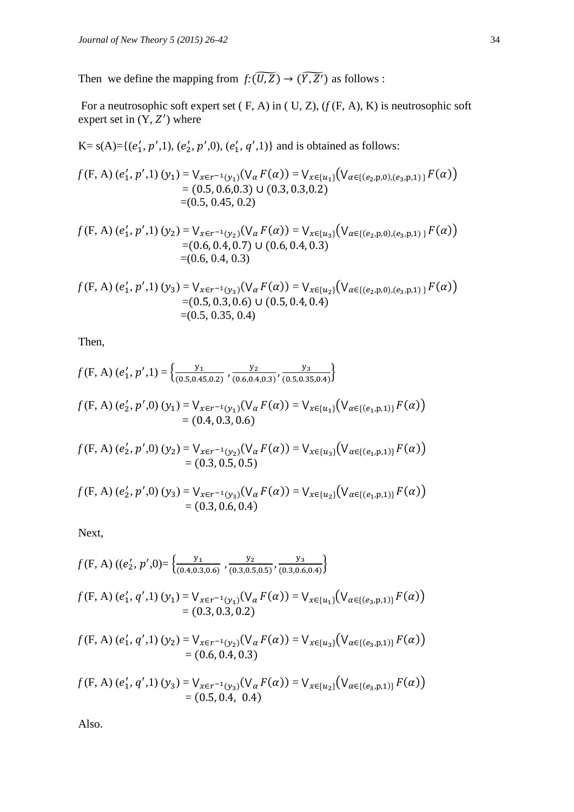Then we define the mapping from  $f: (\widetilde{U,Z}) \to (\widetilde{Y,Z'})$  as follows :

For a neutrosophic soft expert set ( F, A) in ( U, Z), (*f* (F, A), K) is neutrosophic soft expert set in  $(Y, Z')$  where

K= s(A)={( , ,1), ( , ,0), ( , ,1)} and is obtained as follows:

$$
f(F, A) (e'_1, p', 1) (y_1) = V_{x \in r^{-1}(y_1)}(V_\alpha F(\alpha)) = V_{x \in \{u_1\}}(V_{\alpha \in \{(e_2, p, 0), (e_3, p, 1)\}} F(\alpha))
$$
  
= (0.5, 0.6, 0.3) U (0.3, 0.3, 0.2)  
= (0.5, 0.45, 0.2)

$$
f(F, A) (e'_1, p', 1) (y_2) = V_{x \in r^{-1}(y_2)} (V_\alpha F(\alpha)) = V_{x \in \{u_3\}} (V_{\alpha \in \{(e_2, p, 0), (e_3, p, 1)\}} F(\alpha))
$$
  
= (0.6, 0.4, 0.7) U (0.6, 0.4, 0.3)  
= (0.6, 0.4, 0.3)

$$
f(F, A) (e'_1, p', 1) (y_3) = V_{x \in r^{-1}(y_3)}(V_\alpha F(\alpha)) = V_{x \in \{u_2\}}(V_{\alpha \in \{(e_2, p, 0), (e_3, p, 1)\}} F(\alpha))
$$
  
= (0.5, 0.3, 0.6) U (0.5, 0.4, 0.4)  
= (0.5, 0.35, 0.4)

Then,

$$
f(F, A) (e'_1, p', 1) = \left\{ \frac{y_1}{(0.5, 0.45, 0.2)}, \frac{y_2}{(0.6, 0.4, 0.3)}, \frac{y_3}{(0.5, 0.35, 0.4)} \right\}
$$

$$
f(F, A) (e'_2, p', 0) (y_1) = V_{x \in r^{-1}(y_1)}(V_\alpha F(\alpha)) = V_{x \in \{u_1\}}(V_{\alpha \in \{(e_1, p, 1)\}} F(\alpha))
$$
  
= (0.4, 0.3, 0.6)

$$
f(F, A) (e'_2, p', 0) (y_2) = V_{x \in r^{-1}(y_2)} (V_\alpha F(\alpha)) = V_{x \in \{u_3\}} (V_{\alpha \in \{(e_1, p, 1)\}} F(\alpha))
$$
  
= (0.3, 0.5, 0.5)

$$
f(F, A) (e'_2, p', 0) (y_3) = V_{x \in r^{-1}(y_3)} (V_\alpha F(\alpha)) = V_{x \in \{u_2\}} (V_{\alpha \in \{(e_1, p, 1)\}} F(\alpha))
$$
  
= (0.3, 0.6, 0.4)

Next,

$$
f(F, A) ((e'_2, p', 0)) = \left\{ \frac{y_1}{(0.4, 0.3, 0.6)}, \frac{y_2}{(0.3, 0.5, 0.5)}, \frac{y_3}{(0.3, 0.6, 0.4)} \right\}
$$

$$
f(F, A) (e'_1, q', 1) (y_1) = V_{x \in r^{-1}(y_1)}(V_\alpha F(\alpha)) = V_{x \in \{u_1\}}(V_{\alpha \in \{(e_3, p, 1)\}} F(\alpha))
$$
  
= (0.3, 0.3, 0.2)

$$
f(F, A) (e'_1, q', 1) (y_2) = V_{x \in r^{-1}(y_2)} (V_\alpha F(\alpha)) = V_{x \in \{u_3\}} (V_{\alpha \in \{(e_3, p, 1)\}} F(\alpha))
$$
  
= (0.6, 0.4, 0.3)

$$
f(F, A) (e'_1, q', 1) (y_3) = V_{x \in r^{-1}(y_3)}(V_\alpha F(\alpha)) = V_{x \in \{u_2\}}(V_{\alpha \in \{(e_3, p, 1)\}} F(\alpha))
$$
  
= (0.5, 0.4, 0.4)

Also.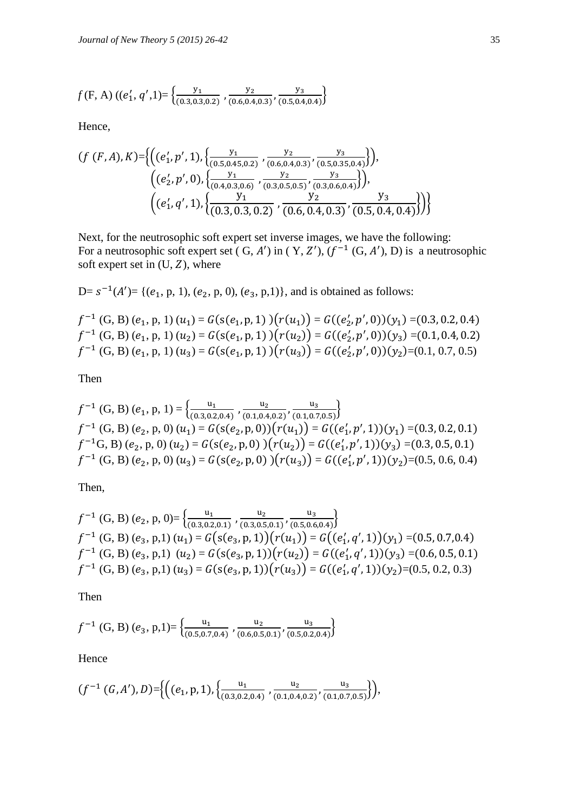$$
f(F, A) ((e'_1, q', 1)) = \left\{ \frac{y_1}{(0.3, 0.3, 0.2)}, \frac{y_2}{(0.6, 0.4, 0.3)}, \frac{y_3}{(0.5, 0.4, 0.4)} \right\}
$$

Hence,

$$
(f (F,A), K)=\left\{ \left( (e'_1, p', 1), \left\{ \frac{y_1}{(0.5, 0.45, 0.2)}, \frac{y_2}{(0.6, 0.4, 0.3)}, \frac{y_3}{(0.5, 0.35, 0.4)} \right\} \right), \\ \left( (e'_2, p', 0), \left\{ \frac{y_1}{(0.4, 0.3, 0.6)}, \frac{y_2}{(0.3, 0.5, 0.5)}, \frac{y_3}{(0.3, 0.6, 0.4)} \right\} \right), \\ \left( (e'_1, q', 1), \left\{ \frac{y_1}{(0.3, 0.3, 0.2)}, \frac{y_2}{(0.6, 0.4, 0.3)}, \frac{y_3}{(0.5, 0.4, 0.4)} \right\} \right) \right\}
$$

Next, for the neutrosophic soft expert set inverse images, we have the following: For a neutrosophic soft expert set  $(G, A')$  in  $(Y, Z')$ ,  $(f^{-1}(G, A'), D)$  is a neutrosophic soft expert set in  $(U, Z)$ , where

 $D = s^{-1}(A') = \{(e_1, p, 1), (e_2, p, 0), (e_3, p,1)\}\$ , and is obtained as follows:

 $f^{-1}(G, B) (e_1, p, 1) (u_1) = G(s(e_1, p, 1))(r(u_1)) = G((e'_2, p', 0))(y_1) = ($  $f^{-1}(G, B) (e_1, p, 1) (u_2) = G(s(e_1, p, 1))(r(u_2)) = G((e'_2, p', 0))(y_3) = ($  $f^{-1}$  (G, B)  $(e_1, p, 1)$   $(u_3) = G(s(e_1, p, 1)) (r(u_3)) = G((e'_2, p', 0))(y_2) = (0.1, 0.7, 0.5)$ 

Then

$$
f^{-1}(G, B) (e_1, p, 1) = \left\{ \frac{u_1}{(0.3, 0.2, 0.4)}, \frac{u_2}{(0.1, 0.4, 0.2)}, \frac{u_3}{(0.1, 0.7, 0.5)} \right\}
$$
  

$$
f^{-1}(G, B) (e_2, p, 0) (u_1) = G(s(e_2, p, 0)) (r(u_1)) = G((e'_1, p', 1))(y_1) = (0.3, 0.2, 0.1)
$$
  

$$
f^{-1}(G, B) (e_2, p, 0) (u_2) = G(s(e_2, p, 0)) (r(u_2)) = G((e'_1, p', 1))(y_3) = (0.3, 0.5, 0.1)
$$
  

$$
f^{-1}(G, B) (e_2, p, 0) (u_3) = G(s(e_2, p, 0)) (r(u_3)) = G((e'_1, p', 1))(y_2) = (0.5, 0.6, 0.4)
$$

Then,

$$
f^{-1}(G, B) (e_2, p, 0) = \left\{ \frac{u_1}{(0.3, 0.2, 0.1)}, \frac{u_2}{(0.3, 0.5, 0.1)}, \frac{u_3}{(0.5, 0.6, 0.4)} \right\}
$$
  

$$
f^{-1}(G, B) (e_3, p, 1) (u_1) = G(s(e_3, p, 1))(r(u_1)) = G((e'_1, q', 1))(y_1) = (0.5, 0.7, 0.4)
$$
  

$$
f^{-1}(G, B) (e_3, p, 1) (u_2) = G(s(e_3, p, 1))(r(u_2)) = G((e'_1, q', 1))(y_3) = (0.6, 0.5, 0.1)
$$
  

$$
f^{-1}(G, B) (e_3, p, 1) (u_3) = G(s(e_3, p, 1))(r(u_3)) = G((e'_1, q', 1))(y_2) = (0.5, 0.2, 0.3)
$$

Then

$$
f^{-1}(G, B)(e_3, p, 1) = \left\{ \frac{u_1}{(0.5, 0.7, 0.4)}, \frac{u_2}{(0.6, 0.5, 0.1)}, \frac{u_3}{(0.5, 0.2, 0.4)} \right\}
$$

Hence

$$
(f^{-1}(G,A'),D) = \left\{ \left( (e_1,p,1), \{ \frac{u_1}{(0.3,0.2,0.4)}, \frac{u_2}{(0.1,0.4,0.2)}, \frac{u_3}{(0.1,0.7,0.5)} \} \right),\right\}
$$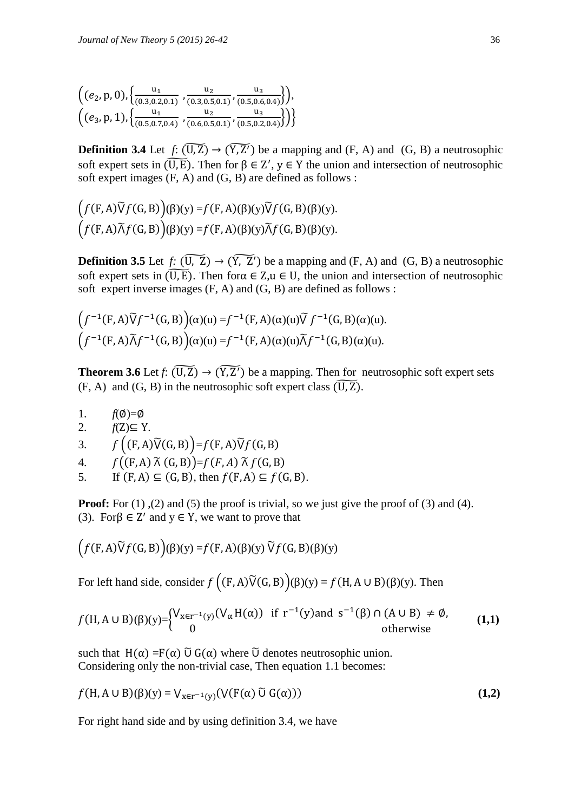| $((e_2, p, 0), \{\frac{u_1}{(0.3, 0.2, 0.1)}, \frac{u_2}{(0.3, 0.5, 0.1)}, \frac{u_3}{(0.5, 0.6, 0.4)}\}),$ |  |  |
|-------------------------------------------------------------------------------------------------------------|--|--|
| $((e_3, p, 1), \{\frac{u_1}{(0.5, 0.7, 0.4)}, \frac{u_2}{(0.6, 0.5, 0.1)}, \frac{u_3}{(0.5, 0.2, 0.4)}\})$  |  |  |
|                                                                                                             |  |  |

**Definition 3.4** Let  $f: (\overline{U_1Z}) \to (\overline{Y_1Z'})$  be a mapping and  $(F, A)$  and  $(G, B)$  a neutrosophic soft expert sets in  $(\widetilde{U,E})$ . Then for  $\beta \in \mathbb{Z}'$ ,  $y \in Y$  the union and intersection of neutrosophic soft expert images (F, A) and (G, B) are defined as follows :

$$
(f(F,A)\widetilde{V}f(G,B))( \beta)(y) = f(F,A)(\beta)(y)\widetilde{V}f(G,B)(\beta)(y).
$$

$$
(f(F,A)\widetilde{\Lambda}f(G,B))( \beta)(y) = f(F,A)(\beta)(y)\widetilde{\Lambda}f(G,B)(\beta)(y).
$$

**Definition 3.5** Let  $f: (\overline{U_1 Z}) \to (\overline{Y_2 Z'})$  be a mapping and  $(F, A)$  and  $(G, B)$  a neutrosophic soft expert sets in  $(\widetilde{U,E})$ . Then for  $\alpha \in Z, u \in U$ , the union and intersection of neutrosophic soft expert inverse images (F, A) and (G, B) are defined as follows :

$$
(f^{-1}(F,A)\widetilde{V}f^{-1}(G,B))(\alpha)(u) = f^{-1}(F,A)(\alpha)(u)\widetilde{V}f^{-1}(G,B)(\alpha)(u).
$$

$$
(f^{-1}(F,A)\widetilde{A}f^{-1}(G,B))(\alpha)(u) = f^{-1}(F,A)(\alpha)(u)\widetilde{A}f^{-1}(G,B)(\alpha)(u).
$$

**Theorem 3.6** Let  $f: (\overline{U}, \overline{Z}) \to (\overline{Y}, \overline{Z})$  be a mapping. Then for neutrosophic soft expert sets  $(F, A)$  and  $(G, B)$  in the neutrosophic soft expert class  $(\overline{U, Z})$ .

1.  $f(\emptyset)=\emptyset$ 

 $\overline{a}$ 

2.  $f(Z) \subseteq Y$ .

3. 
$$
f((F,A)\tilde{V}(G,B))=f(F,A)\tilde{V}f(G,B)
$$

- 4.  $f((F, A) \tilde{\wedge} (G, B)) = f(F, A) \tilde{\wedge} f(G, B)$
- 5. If  $(F, A) \subseteq (G, B)$ , then  $f(F, A) \subseteq f(G, B)$ .

**Proof:** For (1), (2) and (5) the proof is trivial, so we just give the proof of (3) and (4). (3). For  $\beta \in \mathbb{Z}'$  and  $y \in Y$ , we want to prove that

$$
(f(F,A)\widetilde{V}f(G,B))( \beta)(y) = f(F,A)(\beta)(y) \widetilde{V}f(G,B)(\beta)(y)
$$

For left hand side, consider  $f((F,A)\tilde{V}(G,B))(f)(y) = f(H,A\cup B)(f)(y)$ . Then

$$
f(H, A \cup B)(\beta)(y) = \begin{cases} V_{x \in r^{-1}(y)}(V_{\alpha}H(\alpha)) & \text{if } r^{-1}(y) \text{ and } s^{-1}(\beta) \cap (A \cup B) \neq \emptyset, \\ 0 & \text{otherwise} \end{cases}
$$
 (1,1)

such that  $H(\alpha) = F(\alpha)$   $\tilde{U}$  G( $\alpha$ ) where  $\tilde{U}$  denotes neutrosophic union. Considering only the non-trivial case, Then equation 1.1 becomes:

$$
f(H, A \cup B)(\beta)(y) = V_{x \in r^{-1}(y)}(V(F(\alpha) \widetilde{U} G(\alpha)))
$$
\n(1,2)

For right hand side and by using definition 3.4, we have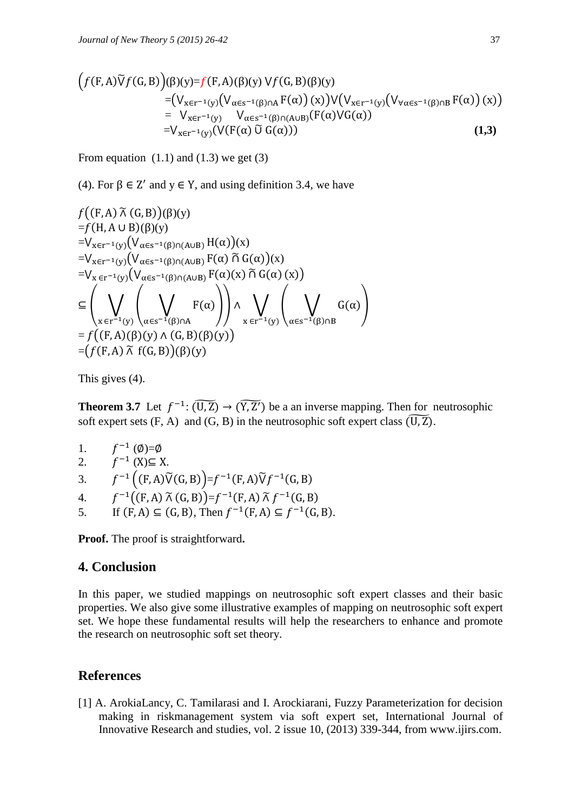$$
(f(F,A)\tilde{V}f(G,B))( \beta)(y)=f(F,A)(\beta)(y) Vf(G,B)(\beta)(y)
$$
  
=
$$
(V_{x\in r^{-1}(y)}(V_{\alpha\in s^{-1}(\beta)\cap A}F(\alpha))(x))V(V_{x\in r^{-1}(y)}(V_{\forall\alpha\in s^{-1}(\beta)\cap B}F(\alpha))(x))
$$
  
=
$$
V_{x\in r^{-1}(y)}V_{\alpha\in s^{-1}(\beta)\cap(A\cup B)}(F(\alpha)VG(\alpha))
$$

$$
=V_{x\in r^{-1}(y)}(V(F(\alpha)\tilde{U}G(\alpha)))
$$
 (1,3)

From equation  $(1.1)$  and  $(1.3)$  we get  $(3)$ 

(4). For  $\beta \in \mathbb{Z}'$  and  $y \in Y$ , and using definition 3.4, we have

$$
f((F, A) \tilde{\wedge} (G, B))(\beta)(y)
$$
  
= $f(H, A \cup B)(\beta)(y)$   
= $V_{x \in r^{-1}(y)}(V_{\alpha \in s^{-1}(\beta) \cap (A \cup B)} H(\alpha))(x)$   
= $V_{x \in r^{-1}(y)}(V_{\alpha \in s^{-1}(\beta) \cap (A \cup B)} F(\alpha) \tilde{\cap} G(\alpha))(x)$   
= $V_{x \in r^{-1}(y)}(V_{\alpha \in s^{-1}(\beta) \cap (A \cup B)} F(\alpha)(x) \tilde{\cap} G(\alpha)(x))$   
 $\subseteq \left(\bigvee_{x \in r^{-1}(y)} \left(\bigvee_{\alpha \in s^{-1}(\beta) \cap A} F(\alpha)\right)\right) \wedge \bigvee_{x \in r^{-1}(y)} \left(\bigvee_{\alpha \in s^{-1}(\beta) \cap B} G(\alpha)\right)$   
= $f((F, A) (\beta)(y) \wedge (G, B) (\beta)(y))$   
= $(f(F, A) \tilde{\wedge} f(G, B))(\beta)(y)$ 

This gives (4).

**Theorem 3.7** Let  $f^{-1}: (\widetilde{U}, \widetilde{Z}) \to (\widetilde{Y}, \widetilde{Z})$  be a an inverse mapping. Then for neutrosophic soft expert sets  $(F, A)$  and  $(G, B)$  in the neutrosophic soft expert class  $(\overline{U, Z})$ .

- 1.  $f^{-1}(\emptyset)=\emptyset$ 2.  $f^{-1}(X) \subseteq X$ . 3.  $f^{-1}((F,A)\widetilde{V}(G,B))=f^{-1}(F,A)\widetilde{V}f^{-1}(G,A)$ 4.  $f^{-1}((F, A) \tilde{\wedge} (G, B)) = f^{-1}(F, A) \tilde{\wedge} f^{-1}(F, A)$ 
	- 5. If  $(F, A) \subseteq (G, B)$ , Then  $f^{-1}(F, A) \subseteq f^{-1}(G, B)$ .

**Proof.** The proof is straightforward**.**

## **4. Conclusion**

In this paper, we studied mappings on neutrosophic soft expert classes and their basic properties. We also give some illustrative examples of mapping on neutrosophic soft expert set. We hope these fundamental results will help the researchers to enhance and promote the research on neutrosophic soft set theory.

## **References**

[1] A. ArokiaLancy, C. Tamilarasi and I. Arockiarani, Fuzzy Parameterization for decision making in riskmanagement system via soft expert set, International Journal of Innovative Research and studies, vol. 2 issue 10, (2013) 339-344, from [www.ijirs.com.](http://www.ijirs.com/)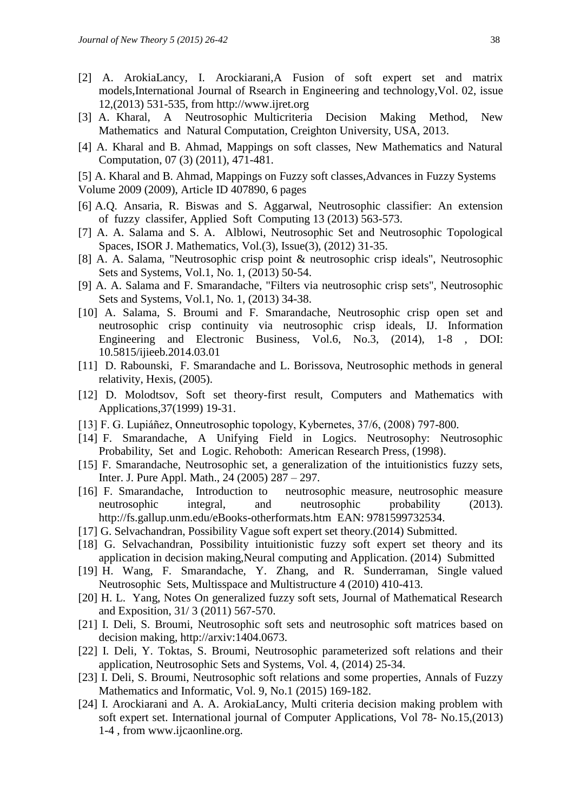- [2] A. ArokiaLancy, I. Arockiarani,A Fusion of soft expert set and matrix models,International Journal of Rsearch in Engineering and technology,Vol. 02, issue 12,(2013) 531-535, from http://www.ijret.org
- [3] A. Kharal, A Neutrosophic Multicriteria Decision Making Method, New Mathematics and Natural Computation, Creighton University, USA, 2013.
- [4] A. Kharal and B. Ahmad, Mappings on soft classes, New Mathematics and Natural Computation, 07 (3) (2011), 471-481.
- [5] A. Kharal and B. Ahmad, Mappings on Fuzzy soft classes,Advances in Fuzzy Systems
- Volume 2009 (2009), Article ID 407890, 6 pages
- [6] A.Q. Ansaria, R. Biswas and S. Aggarwal, Neutrosophic classifier: An extension of fuzzy classifer, Applied Soft Computing 13 (2013) 563-573.
- [7] A. A. Salama and S. A. Alblowi, Neutrosophic Set and Neutrosophic Topological Spaces, ISOR J. Mathematics, Vol.(3), Issue(3), (2012) 31-35.
- [8] A. A. Salama, "Neutrosophic crisp point & neutrosophic crisp ideals", Neutrosophic Sets and Systems, Vol.1, No. 1, (2013) 50-54.
- [9] A. A. Salama and F. Smarandache, "Filters via neutrosophic crisp sets", Neutrosophic Sets and Systems, Vol.1, No. 1, (2013) 34-38.
- [10] A. Salama, S. Broumi and F. Smarandache, Neutrosophic crisp open set and neutrosophic crisp continuity via neutrosophic crisp ideals, IJ. Information Engineering and Electronic Business, Vol.6, No.3, (2014), 1-8 , DOI: 10.5815/ijieeb.2014.03.01
- [11] D. Rabounski, F. Smarandache and L. Borissova, Neutrosophic methods in general relativity, Hexis, (2005).
- [12] D. Molodtsov, Soft set theory-first result, Computers and Mathematics with Applications,37(1999) 19-31.
- [13] F. G. Lupiáñez, Onneutrosophic topology, Kybernetes, 37/6, (2008) 797-800.
- [14] F. Smarandache, A Unifying Field in Logics. Neutrosophy: Neutrosophic Probability, Set and Logic. Rehoboth: American Research Press, (1998).
- [15] F. Smarandache, Neutrosophic set, a generalization of the intuitionistics fuzzy sets, Inter. J. Pure Appl. Math., 24 (2005) 287 – 297.
- [16] F. Smarandache, Introduction to neutrosophic measure, neutrosophic measure neutrosophic integral, and neutrosophic probability (2013). <http://fs.gallup.unm.edu/eBooks-otherformats.htm>EAN: 9781599732534.
- [17] G. Selvachandran, Possibility Vague soft expert set theory.(2014) Submitted.
- [18] G. Selvachandran, Possibility intuitionistic fuzzy soft expert set theory and its application in decision making,Neural computing and Application. (2014) Submitted
- [19] H. Wang, F. Smarandache, Y. Zhang, and R. Sunderraman, Single valued Neutrosophic Sets, Multisspace and Multistructure 4 (2010) 410-413.
- [20] H. L. Yang, Notes On generalized fuzzy soft sets, Journal of Mathematical Research and Exposition, 31/ 3 (2011) 567-570.
- [21] I. Deli, S. Broumi, Neutrosophic soft sets and neutrosophic soft matrices based on decision making, http://arxiv:1404.0673.
- [22] I. Deli, Y. Toktas, S. Broumi, Neutrosophic parameterized soft relations and their application, Neutrosophic Sets and Systems, Vol. 4, (2014) 25-34.
- [23] I. Deli, S. Broumi, Neutrosophic soft relations and some properties, Annals of Fuzzy Mathematics and Informatic, Vol. 9, No.1 (2015) 169-182.
- [24] I. Arockiarani and A. A. ArokiaLancy, Multi criteria decision making problem with soft expert set. International journal of Computer Applications, Vol 78- No.15,(2013) 1-4 , from www.ijcaonline.org.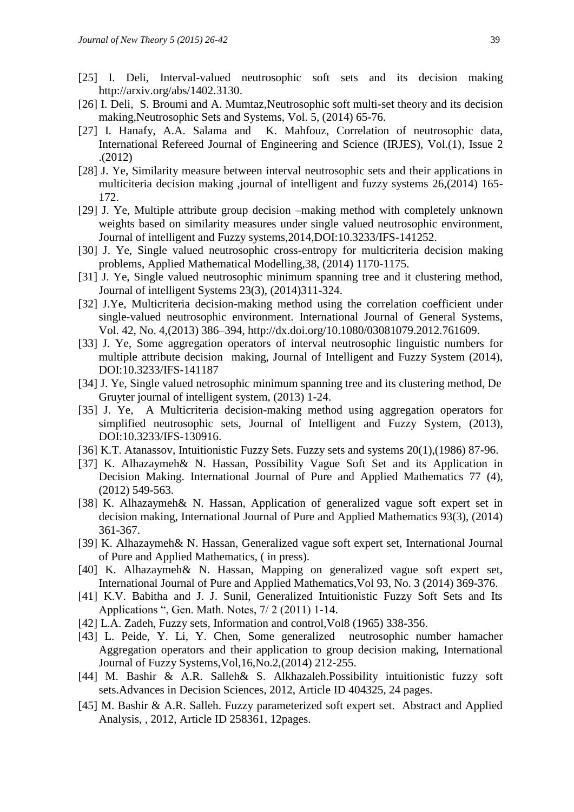- [25] I. Deli, Interval-valued neutrosophic soft sets and its decision making [http://arxiv.org/abs/1402.3130.](http://arxiv.org/abs/1402.3130)
- [26] I. Deli, S. Broumi and A. Mumtaz, Neutrosophic soft multi-set theory and its decision making,Neutrosophic Sets and Systems, Vol. 5, (2014) 65-76.
- [27] I. Hanafy, A.A. Salama and K. Mahfouz, Correlation of neutrosophic data, International Refereed Journal of Engineering and Science (IRJES), Vol.(1), Issue 2 .(2012)
- [28] J. Ye, Similarity measure between interval neutrosophic sets and their applications in multiciteria decision making ,journal of intelligent and fuzzy systems 26,(2014) 165- 172.
- [29] J. Ye, Multiple attribute group decision –making method with completely unknown weights based on similarity measures under single valued neutrosophic environment, Journal of intelligent and Fuzzy systems,2014,DOI:10.3233/IFS-141252.
- [30] J. Ye, Single valued neutrosophic cross-entropy for multicriteria decision making problems, Applied Mathematical Modelling,38, (2014) 1170-1175.
- [31] J. Ye, Single valued neutrosophic minimum spanning tree and it clustering method, Journal of intelligent Systems 23(3), (2014)311-324.
- [32] J.Ye, Multicriteria decision-making method using the correlation coefficient under single-valued neutrosophic environment. International Journal of General Systems, Vol. 42, No. 4,(2013) 386–394, [http://dx.doi.org/10.1080/03081079.2012.761609.](http://dx.doi.org/10.1080/03081079.2012.761609)
- [33] J. Ye, Some aggregation operators of interval neutrosophic linguistic numbers for multiple attribute decision making, Journal of Intelligent and Fuzzy System (2014), DOI:10.3233/IFS-141187
- [34] J. Ye, Single valued netrosophic minimum spanning tree and its clustering method, De Gruyter journal of intelligent system, (2013) 1-24.
- [35] J. Ye, A Multicriteria decision-making method using aggregation operators for simplified neutrosophic sets, Journal of Intelligent and Fuzzy System, (2013), DOI:10.3233/IFS-130916.
- [36] K.T. Atanassov, Intuitionistic Fuzzy Sets. Fuzzy sets and systems  $20(1)$ , (1986) 87-96.
- [37] K. Alhazaymeh& N. Hassan, Possibility Vague Soft Set and its Application in Decision Making. International Journal of Pure and Applied Mathematics 77 (4), (2012) 549-563.
- [38] K. Alhazaymeh& N. Hassan, Application of generalized vague soft expert set in decision making, International Journal of Pure and Applied Mathematics 93(3), (2014) 361-367.
- [39] K. Alhazaymeh& N. Hassan, Generalized vague soft expert set, International Journal of Pure and Applied Mathematics, ( in press).
- [40] K. Alhazaymeh& N. Hassan, Mapping on generalized vague soft expert set, International Journal of Pure and Applied Mathematics,Vol 93, No. 3 (2014) 369-376.
- [41] K.V. Babitha and J. J. Sunil, Generalized Intuitionistic Fuzzy Soft Sets and Its Applications ", Gen. Math. Notes, 7/ 2 (2011) 1-14.
- [42] L.A. Zadeh, Fuzzy sets, Information and control, Vol8 (1965) 338-356.
- [43] L. Peide, Y. Li, Y. Chen, Some generalized neutrosophic number hamacher Aggregation operators and their application to group decision making, International Journal of Fuzzy Systems,Vol,16,No.2,(2014) 212-255.
- [44] M. Bashir & A.R. Salleh& S. Alkhazaleh.Possibility intuitionistic fuzzy soft sets.Advances in Decision Sciences, 2012, Article ID 404325, 24 pages.
- [45] M. Bashir & A.R. Salleh. Fuzzy parameterized soft expert set. Abstract and Applied Analysis, , 2012, Article ID 258361, 12pages.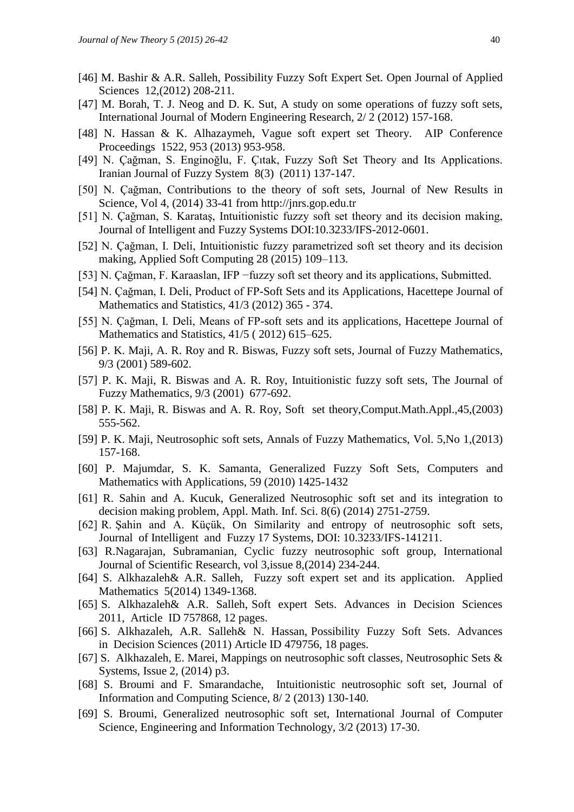- [46] M. Bashir & A.R. Salleh, Possibility Fuzzy Soft Expert Set. Open Journal of Applied Sciences 12,(2012) 208-211.
- [47] M. Borah, T. J. Neog and D. K. Sut, A study on some operations of fuzzy soft sets, International Journal of Modern Engineering Research, 2/ 2 (2012) 157-168.
- [48] N. Hassan & K. Alhazaymeh, Vague soft expert set Theory. AIP Conference Proceedings 1522, 953 (2013) 953-958.
- [49] N. Çağman, S. Enginoğlu, F. Çıtak, Fuzzy Soft Set Theory and Its Applications. Iranian Journal of Fuzzy System 8(3) (2011) 137-147.
- [50] N. Çağman, Contributions to the theory of soft sets, Journal of New Results in Science, Vol 4, (2014) 33-41 from http://jnrs.gop.edu.tr
- [51] N. Çağman, S. Karataş, Intuitionistic fuzzy soft set theory and its decision making, Journal of Intelligent and Fuzzy Systems DOI:10.3233/IFS-2012-0601.
- [52] N. Çağman, I. Deli, Intuitionistic fuzzy parametrized soft set theory and its decision making, Applied Soft Computing 28 (2015) 109–113.
- [53] N. Çağman, F. Karaaslan, IFP −fuzzy soft set theory and its applications, Submitted.
- [54] N. Çağman, I. Deli, Product of FP-Soft Sets and its Applications, Hacettepe Journal of Mathematics and Statistics, 41/3 (2012) 365 - 374.
- [55] N. Çağman, I. Deli, Means of FP-soft sets and its applications, Hacettepe Journal of Mathematics and Statistics, 41/5 ( 2012) 615–625.
- [56] P. K. Maji, A. R. Roy and R. Biswas, Fuzzy soft sets, Journal of Fuzzy Mathematics, 9/3 (2001) 589-602.
- [57] P. K. Maji, R. Biswas and A. R. Roy, Intuitionistic fuzzy soft sets, The Journal of Fuzzy Mathematics, 9/3 (2001) 677-692.
- [58] P. K. Maji, R. Biswas and A. R. Roy, Soft set theory,Comput.Math.Appl.,45,(2003) 555-562.
- [59] P. K. Maji, Neutrosophic soft sets, Annals of Fuzzy Mathematics, Vol. 5,No 1,(2013) 157-168.
- [60] P. Majumdar, S. K. Samanta, Generalized Fuzzy Soft Sets, Computers and Mathematics with Applications, 59 (2010) 1425-1432
- [61] R. Sahin and A. Kucuk, Generalized Neutrosophic soft set and its integration to decision making problem, Appl. Math. Inf. Sci. 8(6) (2014) 2751-2759.
- [62] R. Şahin and A. Küçük, On Similarity and entropy of neutrosophic soft sets, Journal of Intelligent and Fuzzy 17 Systems, DOI: 10.3233/IFS-141211.
- [63] R.Nagarajan, Subramanian, Cyclic fuzzy neutrosophic soft group, International Journal of Scientific Research, vol 3,issue 8,(2014) 234-244.
- [64] S. Alkhazaleh& A.R. Salleh, Fuzzy soft expert set and its application. Applied Mathematics 5(2014) 1349-1368.
- [65] S. Alkhazaleh& A.R. Salleh, Soft expert Sets. Advances in Decision Sciences 2011, Article ID 757868, 12 pages.
- [66] S. Alkhazaleh, A.R. Salleh& N. Hassan, Possibility Fuzzy Soft Sets. Advances in Decision Sciences (2011) Article ID 479756, 18 pages.
- [67] S. Alkhazaleh, E. Marei, Mappings on neutrosophic soft classes, Neutrosophic Sets & Systems, Issue 2, (2014) p3.
- [68] S. Broumi and F. Smarandache, Intuitionistic neutrosophic soft set, Journal of Information and Computing Science, 8/ 2 (2013) 130-140.
- [69] S. Broumi, Generalized neutrosophic soft set, International Journal of Computer Science, Engineering and Information Technology, 3/2 (2013) 17-30.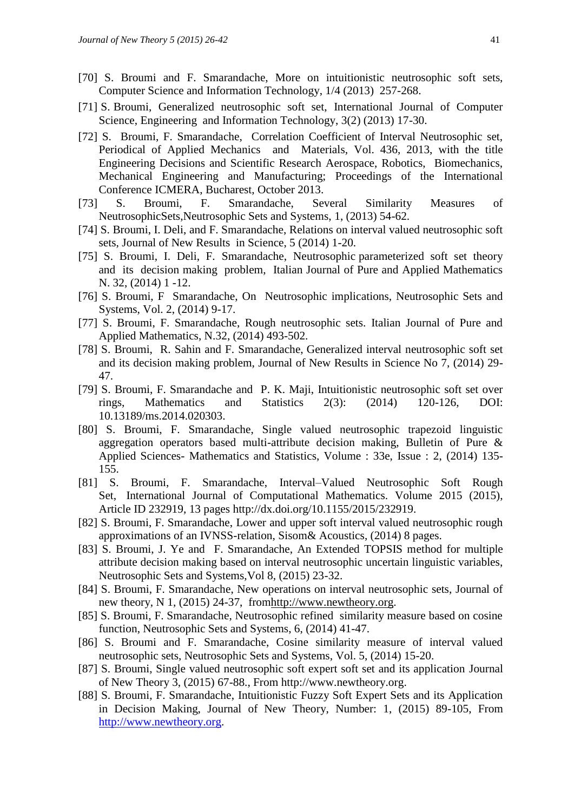- [70] S. Broumi and F. Smarandache, More on intuitionistic neutrosophic soft sets, Computer Science and Information Technology, 1/4 (2013) 257-268.
- [71] S. Broumi, Generalized neutrosophic soft set, International Journal of Computer Science, Engineering and Information Technology, 3(2) (2013) 17-30.
- [72] S. Broumi, F. Smarandache, Correlation Coefficient of Interval Neutrosophic set, Periodical of Applied Mechanics and Materials, Vol. 436, 2013, with the title Engineering Decisions and Scientific Research Aerospace, Robotics, Biomechanics, Mechanical Engineering and Manufacturing; Proceedings of the International Conference ICMERA, Bucharest, October 2013.
- [73] S. Broumi, F. Smarandache, Several Similarity Measures of NeutrosophicSets,Neutrosophic Sets and Systems, 1, (2013) 54-62.
- [74] S. Broumi, I. Deli, and F. Smarandache, Relations on interval valued neutrosophic soft sets, Journal of New Results in Science, 5 (2014) 1-20.
- [75] S. Broumi, I. Deli, F. Smarandache, Neutrosophic parameterized soft set theory and its decision making problem, Italian Journal of Pure and Applied Mathematics N. 32, (2014) 1 -12.
- [76] S. Broumi, F Smarandache, On Neutrosophic implications, Neutrosophic Sets and Systems, Vol. 2, (2014) 9-17.
- [77] S. Broumi, F. Smarandache, Rough neutrosophic sets. Italian Journal of Pure and Applied Mathematics, N.32, (2014) 493-502.
- [78] S. Broumi, R. Sahin and F. Smarandache, Generalized interval neutrosophic soft set and its decision making problem, Journal of New Results in Science No 7, (2014) 29- 47.
- [79] S. Broumi, F. Smarandache and P. K. Maji, Intuitionistic neutrosophic soft set over rings, Mathematics and Statistics 2(3): (2014) 120-126, DOI: 10.13189/ms.2014.020303.
- [80] S. Broumi, F. Smarandache, Single valued neutrosophic trapezoid linguistic aggregation operators based multi-attribute decision making, Bulletin of Pure & Applied Sciences- Mathematics and Statistics, Volume : 33e, Issue : 2, (2014) 135- 155.
- [81] S. Broumi, F. Smarandache, Interval–Valued Neutrosophic Soft Rough Set, International Journal of Computational Mathematics. Volume 2015 (2015), Article ID 232919, 13 pages [http://dx.doi.org/10.1155/2015/232919.](http://dx.doi.org/10.1155/2015/232919)
- [82] S. Broumi, F. Smarandache, Lower and upper soft interval valued neutrosophic rough approximations of an IVNSS-relation, Sisom& Acoustics, (2014) 8 pages.
- [83] S. Broumi, J. Ye and F. Smarandache, An Extended TOPSIS method for multiple attribute decision making based on interval neutrosophic uncertain linguistic variables, Neutrosophic Sets and Systems,Vol 8, (2015) 23-32.
- [84] S. Broumi, F. Smarandache, New operations on interval neutrosophic sets, Journal of new theory, N 1, (2015) 24-37, fro[mhttp://www.newtheory.org.](http://www.newtheory.org/)
- [85] S. Broumi, F. Smarandache, Neutrosophic refined similarity measure based on cosine function, Neutrosophic Sets and Systems, 6, (2014) 41-47.
- [86] S. Broumi and F. Smarandache, Cosine similarity measure of interval valued neutrosophic sets, Neutrosophic Sets and Systems, Vol. 5, (2014) 15-20.
- [87] S. Broumi, Single valued neutrosophic soft expert soft set and its application Journal of New Theory 3, (2015) 67-88., From [http://www.newtheory.org.](http://www.newtheory.org/)
- [88] S. Broumi, F. Smarandache, Intuitionistic Fuzzy Soft Expert Sets and its Application in Decision Making, Journal of New Theory, Number: 1, (2015) 89-105, From [http://www.newtheory.org.](http://www.newtheory.org/)